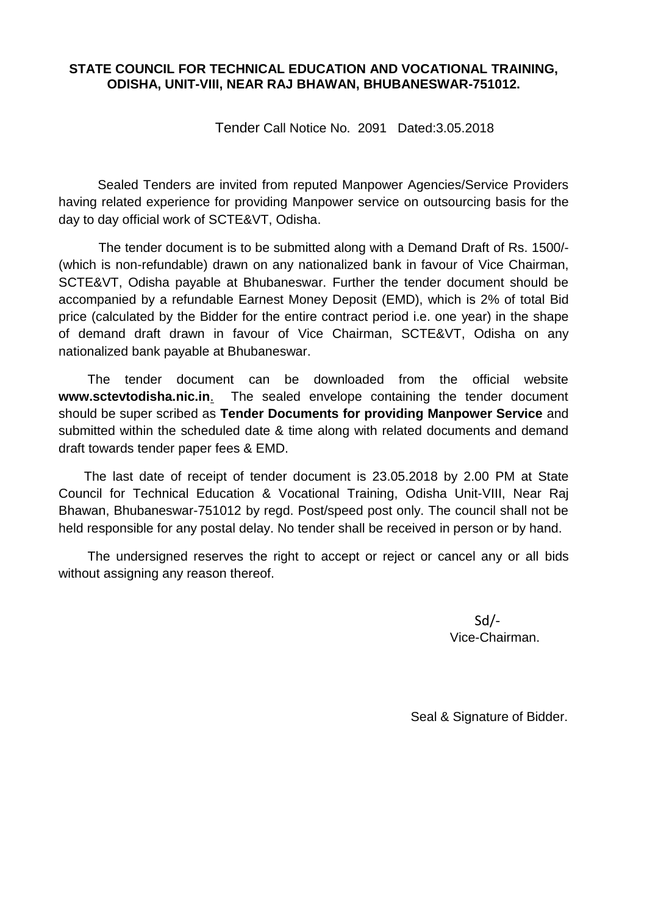#### **STATE COUNCIL FOR TECHNICAL EDUCATION AND VOCATIONAL TRAINING, ODISHA, UNIT-VIII, NEAR RAJ BHAWAN, BHUBANESWAR-751012.**

Tender Call Notice No. 2091 Dated:3.05.2018

Sealed Tenders are invited from reputed Manpower Agencies/Service Providers having related experience for providing Manpower service on outsourcing basis for the day to day official work of SCTE&VT, Odisha.

 The tender document is to be submitted along with a Demand Draft of Rs. 1500/- (which is non-refundable) drawn on any nationalized bank in favour of Vice Chairman, SCTE&VT, Odisha payable at Bhubaneswar. Further the tender document should be accompanied by a refundable Earnest Money Deposit (EMD), which is 2% of total Bid price (calculated by the Bidder for the entire contract period i.e. one year) in the shape of demand draft drawn in favour of Vice Chairman, SCTE&VT, Odisha on any nationalized bank payable at Bhubaneswar.

 The tender document can be downloaded from the official website **www.sctevtodisha.nic.in**. The sealed envelope containing the tender document should be super scribed as **Tender Documents for providing Manpower Service** and submitted within the scheduled date & time along with related documents and demand draft towards tender paper fees & EMD.

 The last date of receipt of tender document is 23.05.2018 by 2.00 PM at State Council for Technical Education & Vocational Training, Odisha Unit-VIII, Near Raj Bhawan, Bhubaneswar-751012 by regd. Post/speed post only. The council shall not be held responsible for any postal delay. No tender shall be received in person or by hand.

 The undersigned reserves the right to accept or reject or cancel any or all bids without assigning any reason thereof.

Sd/- Vice-Chairman.

Seal & Signature of Bidder.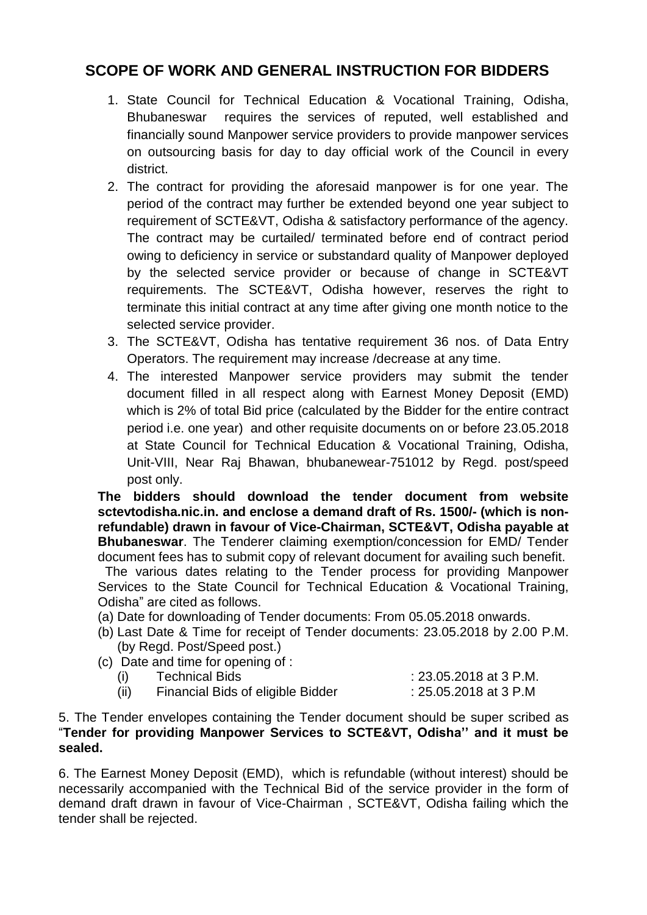# **SCOPE OF WORK AND GENERAL INSTRUCTION FOR BIDDERS**

- 1. State Council for Technical Education & Vocational Training, Odisha, Bhubaneswar requires the services of reputed, well established and financially sound Manpower service providers to provide manpower services on outsourcing basis for day to day official work of the Council in every district.
- 2. The contract for providing the aforesaid manpower is for one year. The period of the contract may further be extended beyond one year subject to requirement of SCTE&VT, Odisha & satisfactory performance of the agency. The contract may be curtailed/ terminated before end of contract period owing to deficiency in service or substandard quality of Manpower deployed by the selected service provider or because of change in SCTE&VT requirements. The SCTE&VT, Odisha however, reserves the right to terminate this initial contract at any time after giving one month notice to the selected service provider.
- 3. The SCTE&VT, Odisha has tentative requirement 36 nos. of Data Entry Operators. The requirement may increase /decrease at any time.
- 4. The interested Manpower service providers may submit the tender document filled in all respect along with Earnest Money Deposit (EMD) which is 2% of total Bid price (calculated by the Bidder for the entire contract period i.e. one year) and other requisite documents on or before 23.05.2018 at State Council for Technical Education & Vocational Training, Odisha, Unit-VIII, Near Raj Bhawan, bhubanewear-751012 by Regd. post/speed post only.

**The bidders should download the tender document from website sctevtodisha.nic.in. and enclose a demand draft of Rs. 1500/- (which is nonrefundable) drawn in favour of Vice-Chairman, SCTE&VT, Odisha payable at Bhubaneswar**. The Tenderer claiming exemption/concession for EMD/ Tender document fees has to submit copy of relevant document for availing such benefit.

 The various dates relating to the Tender process for providing Manpower Services to the State Council for Technical Education & Vocational Training, Odisha" are cited as follows.

- (a) Date for downloading of Tender documents: From 05.05.2018 onwards.
- (b) Last Date & Time for receipt of Tender documents: 23.05.2018 by 2.00 P.M. (by Regd. Post/Speed post.)
- (c) Date and time for opening of :

| <b>Technical Bids</b>             | : 23.05.2018 at 3 P.M. |
|-----------------------------------|------------------------|
| Financial Bids of eligible Bidder | : 25.05.2018 at 3 P.M  |

#### 5. The Tender envelopes containing the Tender document should be super scribed as "**Tender for providing Manpower Services to SCTE&VT, Odisha'' and it must be sealed.**

6. The Earnest Money Deposit (EMD), which is refundable (without interest) should be necessarily accompanied with the Technical Bid of the service provider in the form of demand draft drawn in favour of Vice-Chairman , SCTE&VT, Odisha failing which the tender shall be rejected.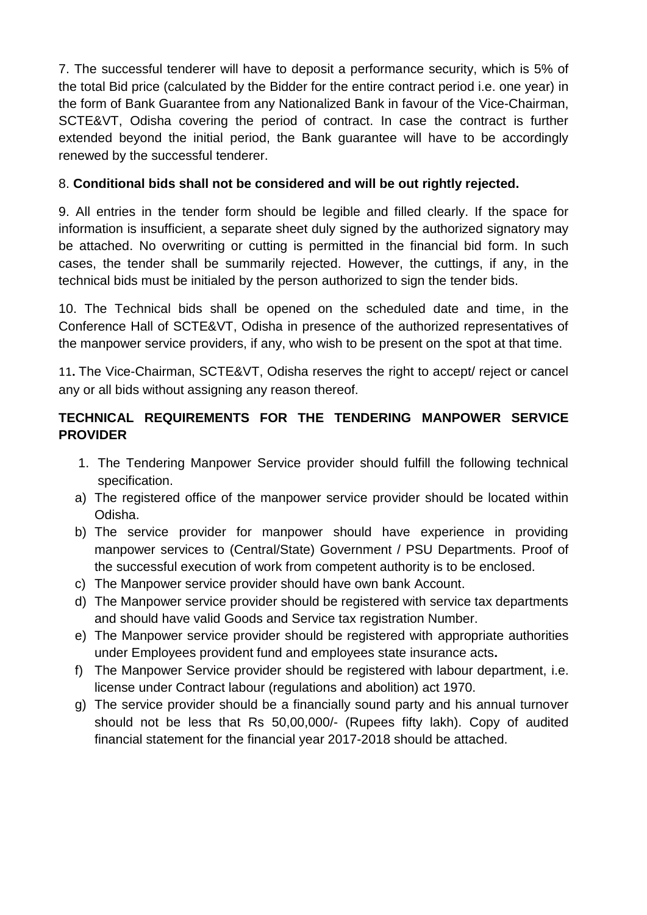7. The successful tenderer will have to deposit a performance security, which is 5% of the total Bid price (calculated by the Bidder for the entire contract period i.e. one year) in the form of Bank Guarantee from any Nationalized Bank in favour of the Vice-Chairman, SCTE&VT, Odisha covering the period of contract. In case the contract is further extended beyond the initial period, the Bank guarantee will have to be accordingly renewed by the successful tenderer.

### 8. **Conditional bids shall not be considered and will be out rightly rejected.**

9. All entries in the tender form should be legible and filled clearly. If the space for information is insufficient, a separate sheet duly signed by the authorized signatory may be attached. No overwriting or cutting is permitted in the financial bid form. In such cases, the tender shall be summarily rejected. However, the cuttings, if any, in the technical bids must be initialed by the person authorized to sign the tender bids.

10. The Technical bids shall be opened on the scheduled date and time, in the Conference Hall of SCTE&VT, Odisha in presence of the authorized representatives of the manpower service providers, if any, who wish to be present on the spot at that time.

11**.** The Vice-Chairman, SCTE&VT, Odisha reserves the right to accept/ reject or cancel any or all bids without assigning any reason thereof.

## **TECHNICAL REQUIREMENTS FOR THE TENDERING MANPOWER SERVICE PROVIDER**

- 1. The Tendering Manpower Service provider should fulfill the following technical specification.
- a) The registered office of the manpower service provider should be located within Odisha.
- b) The service provider for manpower should have experience in providing manpower services to (Central/State) Government / PSU Departments. Proof of the successful execution of work from competent authority is to be enclosed.
- c) The Manpower service provider should have own bank Account.
- d) The Manpower service provider should be registered with service tax departments and should have valid Goods and Service tax registration Number.
- e) The Manpower service provider should be registered with appropriate authorities under Employees provident fund and employees state insurance acts**.**
- f) The Manpower Service provider should be registered with labour department, i.e. license under Contract labour (regulations and abolition) act 1970.
- g) The service provider should be a financially sound party and his annual turnover should not be less that Rs 50,00,000/- (Rupees fifty lakh). Copy of audited financial statement for the financial year 2017-2018 should be attached.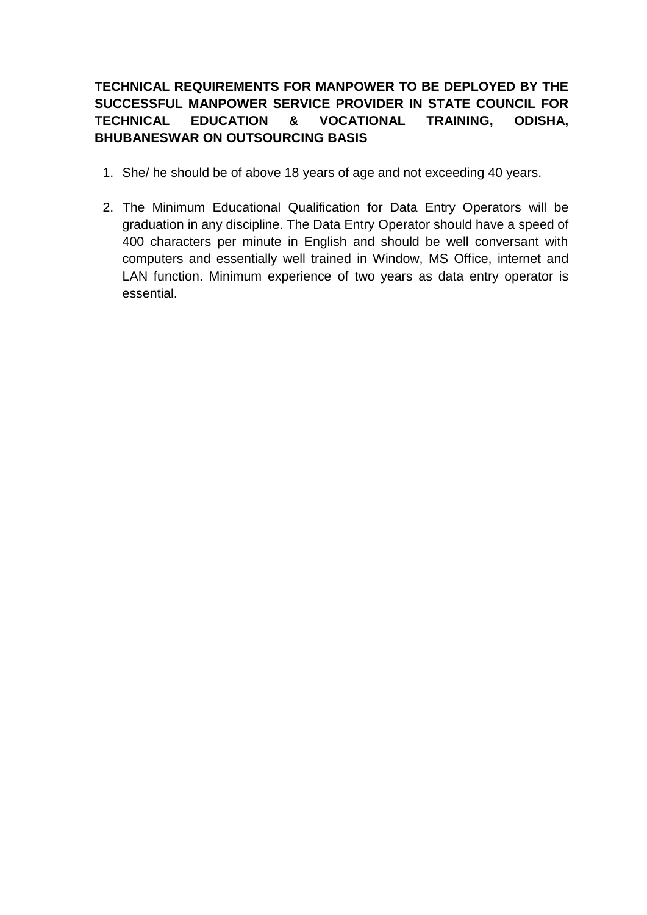### **TECHNICAL REQUIREMENTS FOR MANPOWER TO BE DEPLOYED BY THE SUCCESSFUL MANPOWER SERVICE PROVIDER IN STATE COUNCIL FOR TECHNICAL EDUCATION & VOCATIONAL TRAINING, ODISHA, BHUBANESWAR ON OUTSOURCING BASIS**

- 1. She/ he should be of above 18 years of age and not exceeding 40 years.
- 2. The Minimum Educational Qualification for Data Entry Operators will be graduation in any discipline. The Data Entry Operator should have a speed of 400 characters per minute in English and should be well conversant with computers and essentially well trained in Window, MS Office, internet and LAN function. Minimum experience of two years as data entry operator is essential.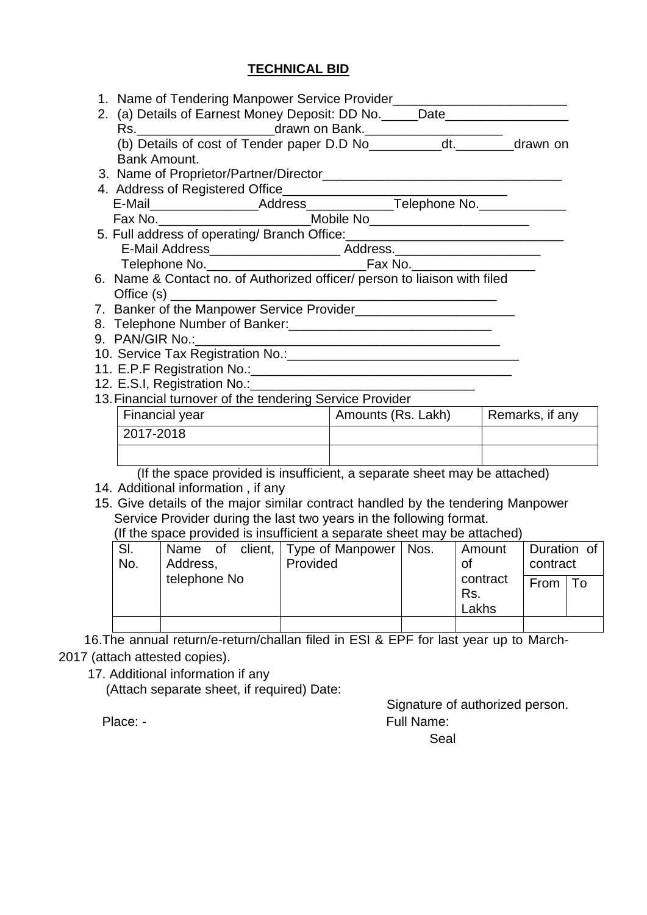### **TECHNICAL BID**

|                | Rs. Maxwn on Bank. Maxwn On Bank. Maxwn on Book. Maxwn on Bank. Maxwn on Book. Maxwn on Book. Maxwn on Bank. Maxwn on Book. Maxwn on Book. Maxwn on Book. Maxwn on Book. Maxwn on Book. Maxwn on Book. Maxwn on Book. Maxwn on |  |                 |
|----------------|--------------------------------------------------------------------------------------------------------------------------------------------------------------------------------------------------------------------------------|--|-----------------|
| Bank Amount.   |                                                                                                                                                                                                                                |  |                 |
|                |                                                                                                                                                                                                                                |  |                 |
|                |                                                                                                                                                                                                                                |  |                 |
|                |                                                                                                                                                                                                                                |  |                 |
|                |                                                                                                                                                                                                                                |  |                 |
|                | Fax No. ________________________________Mobile No_______________________________                                                                                                                                               |  |                 |
|                | 5. Full address of operating/ Branch Office: ___________________________________                                                                                                                                               |  |                 |
|                | E-Mail Address__________________________ Address._______________________________                                                                                                                                               |  |                 |
|                |                                                                                                                                                                                                                                |  |                 |
|                | 6. Name & Contact no. of Authorized officer/ person to liaison with filed                                                                                                                                                      |  |                 |
|                |                                                                                                                                                                                                                                |  |                 |
|                |                                                                                                                                                                                                                                |  |                 |
|                |                                                                                                                                                                                                                                |  |                 |
|                |                                                                                                                                                                                                                                |  |                 |
|                |                                                                                                                                                                                                                                |  |                 |
|                |                                                                                                                                                                                                                                |  |                 |
|                |                                                                                                                                                                                                                                |  |                 |
|                | 13. Financial turnover of the tendering Service Provider                                                                                                                                                                       |  |                 |
|                | Amounts (Rs. Lakh)                                                                                                                                                                                                             |  | Remarks, if any |
| Financial year |                                                                                                                                                                                                                                |  |                 |
| 2017-2018      |                                                                                                                                                                                                                                |  |                 |
|                |                                                                                                                                                                                                                                |  |                 |

(If the space provided is insufficient a separate sheet may be attached)

| SI.<br>No. | Name of<br>Address, | client, Type of Manpower   Nos.<br>Provided | Amount<br>Οt             | Duration of<br>contract |      |
|------------|---------------------|---------------------------------------------|--------------------------|-------------------------|------|
|            | telephone No        |                                             | contract<br>Rs.<br>Lakhs | From                    | ' To |
|            |                     |                                             |                          |                         |      |

 16.The annual return/e-return/challan filed in ESI & EPF for last year up to March-2017 (attach attested copies).

17. Additional information if any

(Attach separate sheet, if required) Date:

Signature of authorized person. Place: - Full Name: Seal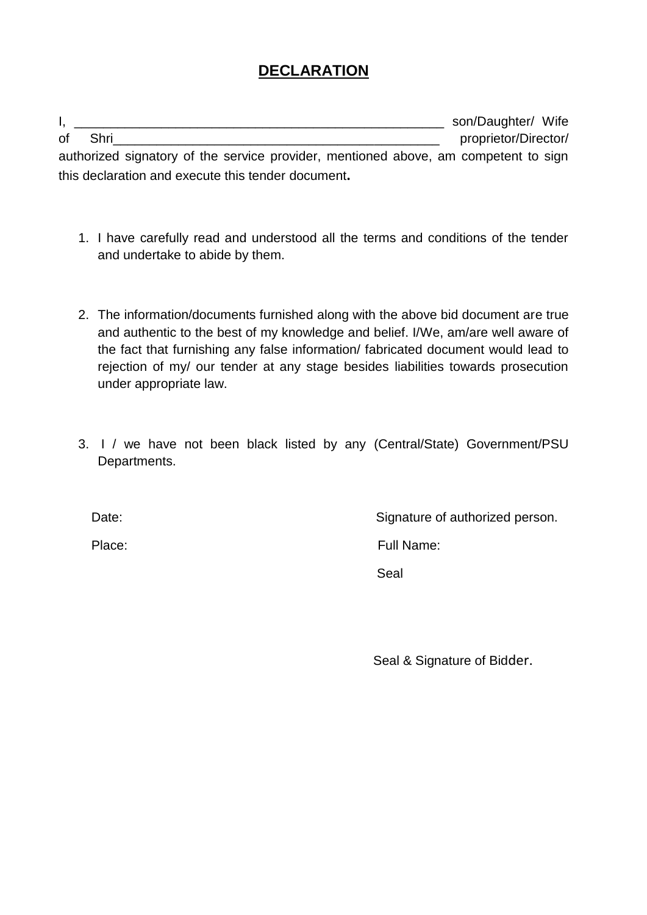# **DECLARATION**

I, \_\_\_\_\_\_\_\_\_\_\_\_\_\_\_\_\_\_\_\_\_\_\_\_\_\_\_\_\_\_\_\_\_\_\_\_\_\_\_\_\_\_\_\_\_\_\_\_\_\_\_ son/Daughter/ Wife of Shri authorized signatory of the service provider, mentioned above, am competent to sign this declaration and execute this tender document**.** 

- 1. I have carefully read and understood all the terms and conditions of the tender and undertake to abide by them.
- 2. The information/documents furnished along with the above bid document are true and authentic to the best of my knowledge and belief. I/We, am/are well aware of the fact that furnishing any false information/ fabricated document would lead to rejection of my/ our tender at any stage besides liabilities towards prosecution under appropriate law.
- 3. I / we have not been black listed by any (Central/State) Government/PSU Departments.

Date: Date: Signature of authorized person.

Place: Full Name: Full Name:

Seal

Seal & Signature of Bidder.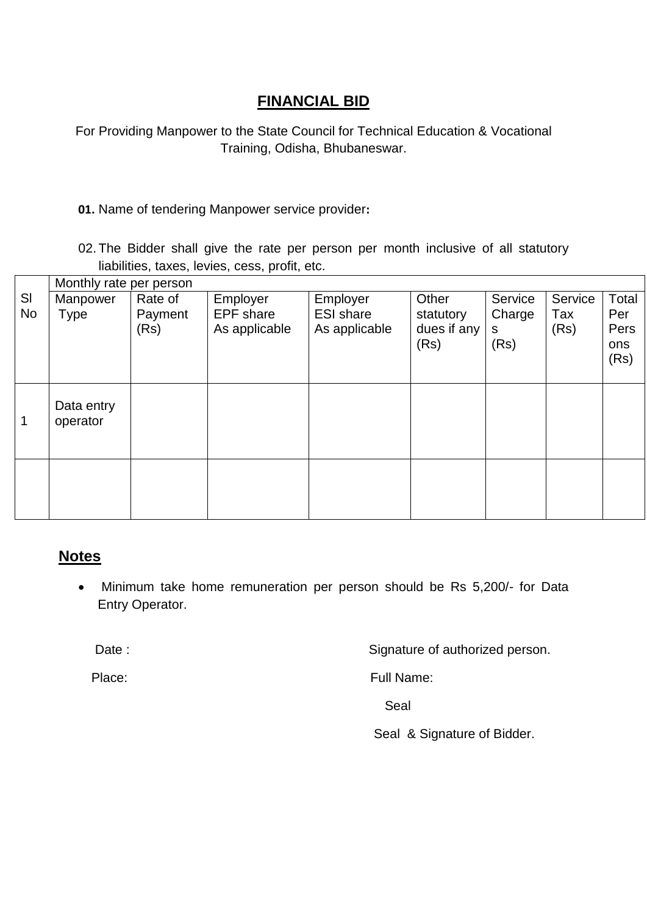## **FINANCIAL BID**

For Providing Manpower to the State Council for Technical Education & Vocational Training, Odisha, Bhubaneswar.

### **01.** Name of tendering Manpower service provider**:**

02. The Bidder shall give the rate per person per month inclusive of all statutory liabilities, taxes, levies, cess, profit, etc.

|           | Monthly rate per person |                 |                                   |                                   |                                  |                     |             |                            |
|-----------|-------------------------|-----------------|-----------------------------------|-----------------------------------|----------------------------------|---------------------|-------------|----------------------------|
| SI        | Manpower                | Rate of         | Employer                          | Employer                          | Other                            | Service             | Service     | Total                      |
| <b>No</b> | <b>Type</b>             | Payment<br>(Rs) | <b>EPF</b> share<br>As applicable | <b>ESI</b> share<br>As applicable | statutory<br>dues if any<br>(Rs) | Charge<br>S<br>(Rs) | Tax<br>(Rs) | Per<br>Pers<br>ons<br>(Rs) |
| 1         | Data entry<br>operator  |                 |                                   |                                   |                                  |                     |             |                            |
|           |                         |                 |                                   |                                   |                                  |                     |             |                            |

## **Notes**

 Minimum take home remuneration per person should be Rs 5,200/- for Data Entry Operator.

Date : Case of authorized person.

Place: Full Name:

in the contract of the contract of the contract of the Seal

Seal & Signature of Bidder.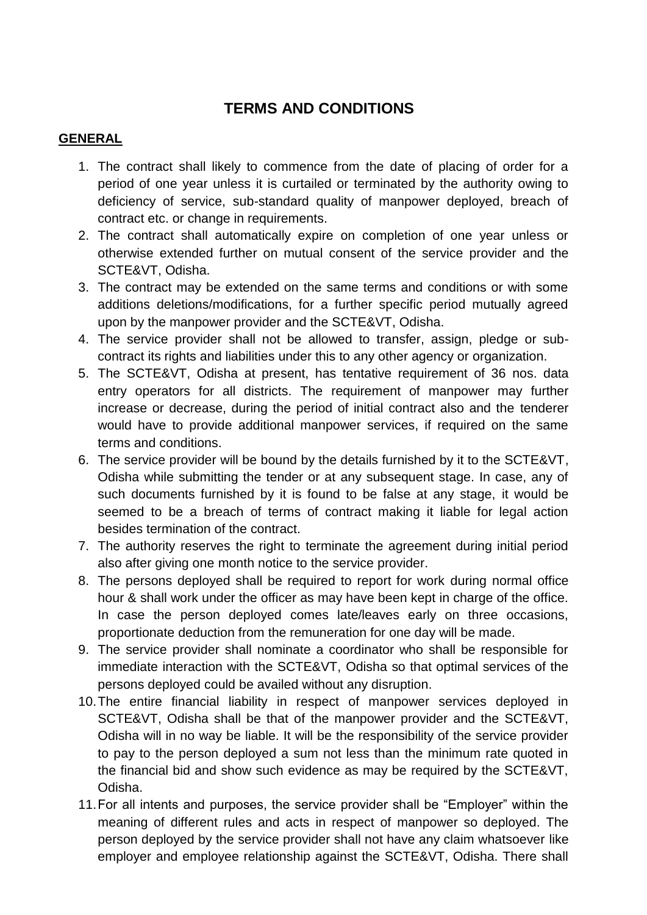# **TERMS AND CONDITIONS**

#### **GENERAL**

- 1. The contract shall likely to commence from the date of placing of order for a period of one year unless it is curtailed or terminated by the authority owing to deficiency of service, sub-standard quality of manpower deployed, breach of contract etc. or change in requirements.
- 2. The contract shall automatically expire on completion of one year unless or otherwise extended further on mutual consent of the service provider and the SCTE&VT, Odisha.
- 3. The contract may be extended on the same terms and conditions or with some additions deletions/modifications, for a further specific period mutually agreed upon by the manpower provider and the SCTE&VT, Odisha.
- 4. The service provider shall not be allowed to transfer, assign, pledge or subcontract its rights and liabilities under this to any other agency or organization.
- 5. The SCTE&VT, Odisha at present, has tentative requirement of 36 nos. data entry operators for all districts. The requirement of manpower may further increase or decrease, during the period of initial contract also and the tenderer would have to provide additional manpower services, if required on the same terms and conditions.
- 6. The service provider will be bound by the details furnished by it to the SCTE&VT, Odisha while submitting the tender or at any subsequent stage. In case, any of such documents furnished by it is found to be false at any stage, it would be seemed to be a breach of terms of contract making it liable for legal action besides termination of the contract.
- 7. The authority reserves the right to terminate the agreement during initial period also after giving one month notice to the service provider.
- 8. The persons deployed shall be required to report for work during normal office hour & shall work under the officer as may have been kept in charge of the office. In case the person deployed comes late/leaves early on three occasions, proportionate deduction from the remuneration for one day will be made.
- 9. The service provider shall nominate a coordinator who shall be responsible for immediate interaction with the SCTE&VT, Odisha so that optimal services of the persons deployed could be availed without any disruption.
- 10.The entire financial liability in respect of manpower services deployed in SCTE&VT, Odisha shall be that of the manpower provider and the SCTE&VT, Odisha will in no way be liable. It will be the responsibility of the service provider to pay to the person deployed a sum not less than the minimum rate quoted in the financial bid and show such evidence as may be required by the SCTE&VT, Odisha.
- 11.For all intents and purposes, the service provider shall be "Employer" within the meaning of different rules and acts in respect of manpower so deployed. The person deployed by the service provider shall not have any claim whatsoever like employer and employee relationship against the SCTE&VT, Odisha. There shall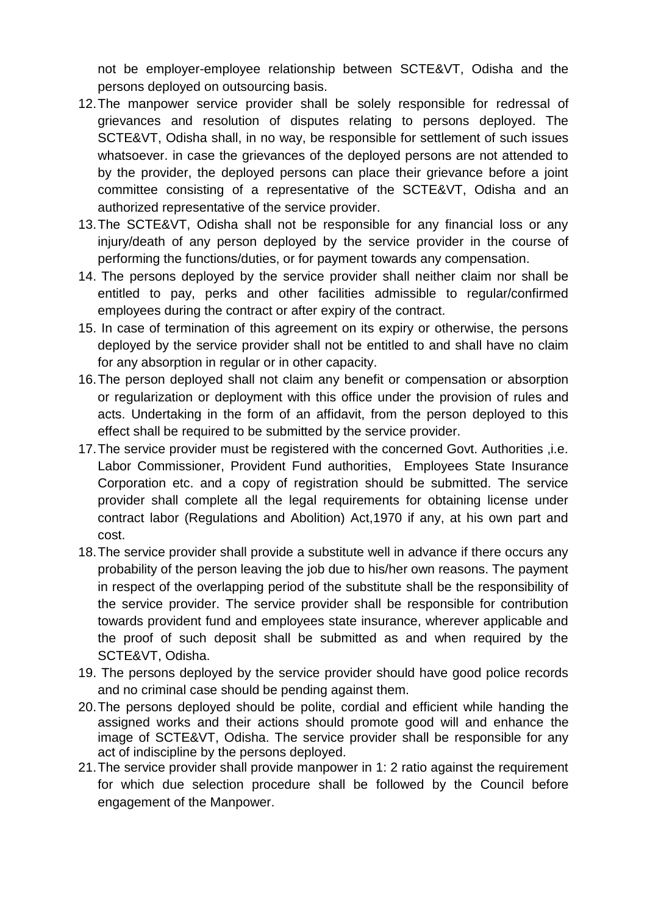not be employer-employee relationship between SCTE&VT, Odisha and the persons deployed on outsourcing basis.

- 12.The manpower service provider shall be solely responsible for redressal of grievances and resolution of disputes relating to persons deployed. The SCTE&VT, Odisha shall, in no way, be responsible for settlement of such issues whatsoever. in case the grievances of the deployed persons are not attended to by the provider, the deployed persons can place their grievance before a joint committee consisting of a representative of the SCTE&VT, Odisha and an authorized representative of the service provider.
- 13.The SCTE&VT, Odisha shall not be responsible for any financial loss or any injury/death of any person deployed by the service provider in the course of performing the functions/duties, or for payment towards any compensation.
- 14. The persons deployed by the service provider shall neither claim nor shall be entitled to pay, perks and other facilities admissible to regular/confirmed employees during the contract or after expiry of the contract.
- 15. In case of termination of this agreement on its expiry or otherwise, the persons deployed by the service provider shall not be entitled to and shall have no claim for any absorption in regular or in other capacity.
- 16.The person deployed shall not claim any benefit or compensation or absorption or regularization or deployment with this office under the provision of rules and acts. Undertaking in the form of an affidavit, from the person deployed to this effect shall be required to be submitted by the service provider.
- 17.The service provider must be registered with the concerned Govt. Authorities ,i.e. Labor Commissioner, Provident Fund authorities, Employees State Insurance Corporation etc. and a copy of registration should be submitted. The service provider shall complete all the legal requirements for obtaining license under contract labor (Regulations and Abolition) Act,1970 if any, at his own part and cost.
- 18.The service provider shall provide a substitute well in advance if there occurs any probability of the person leaving the job due to his/her own reasons. The payment in respect of the overlapping period of the substitute shall be the responsibility of the service provider. The service provider shall be responsible for contribution towards provident fund and employees state insurance, wherever applicable and the proof of such deposit shall be submitted as and when required by the SCTE&VT, Odisha.
- 19. The persons deployed by the service provider should have good police records and no criminal case should be pending against them.
- 20.The persons deployed should be polite, cordial and efficient while handing the assigned works and their actions should promote good will and enhance the image of SCTE&VT, Odisha. The service provider shall be responsible for any act of indiscipline by the persons deployed.
- 21.The service provider shall provide manpower in 1: 2 ratio against the requirement for which due selection procedure shall be followed by the Council before engagement of the Manpower.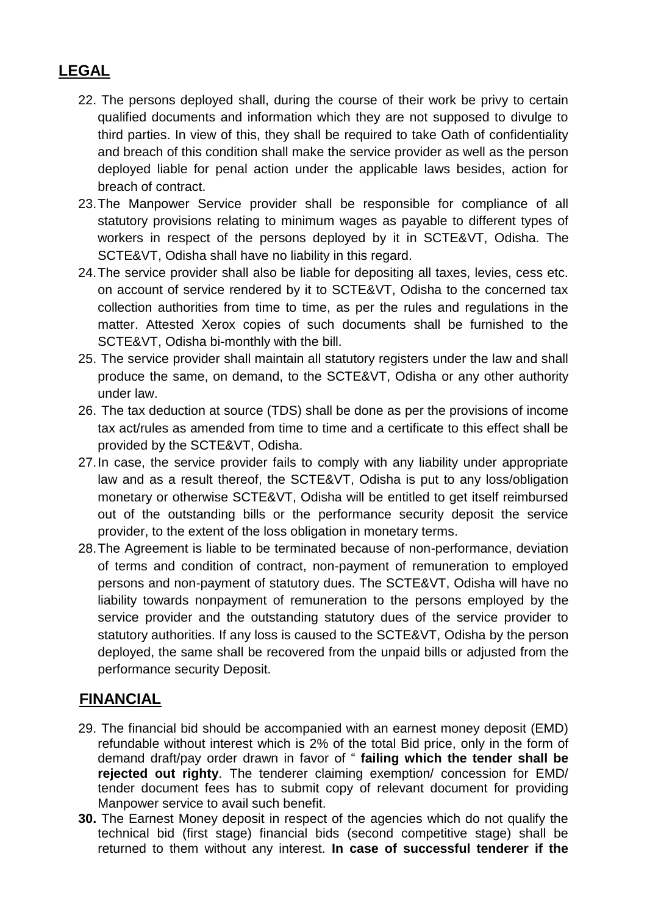# **LEGAL**

- 22. The persons deployed shall, during the course of their work be privy to certain qualified documents and information which they are not supposed to divulge to third parties. In view of this, they shall be required to take Oath of confidentiality and breach of this condition shall make the service provider as well as the person deployed liable for penal action under the applicable laws besides, action for breach of contract.
- 23.The Manpower Service provider shall be responsible for compliance of all statutory provisions relating to minimum wages as payable to different types of workers in respect of the persons deployed by it in SCTE&VT, Odisha. The SCTE&VT, Odisha shall have no liability in this regard.
- 24.The service provider shall also be liable for depositing all taxes, levies, cess etc. on account of service rendered by it to SCTE&VT, Odisha to the concerned tax collection authorities from time to time, as per the rules and regulations in the matter. Attested Xerox copies of such documents shall be furnished to the SCTE&VT, Odisha bi-monthly with the bill.
- 25. The service provider shall maintain all statutory registers under the law and shall produce the same, on demand, to the SCTE&VT, Odisha or any other authority under law.
- 26. The tax deduction at source (TDS) shall be done as per the provisions of income tax act/rules as amended from time to time and a certificate to this effect shall be provided by the SCTE&VT, Odisha.
- 27.In case, the service provider fails to comply with any liability under appropriate law and as a result thereof, the SCTE&VT, Odisha is put to any loss/obligation monetary or otherwise SCTE&VT, Odisha will be entitled to get itself reimbursed out of the outstanding bills or the performance security deposit the service provider, to the extent of the loss obligation in monetary terms.
- 28.The Agreement is liable to be terminated because of non-performance, deviation of terms and condition of contract, non-payment of remuneration to employed persons and non-payment of statutory dues. The SCTE&VT, Odisha will have no liability towards nonpayment of remuneration to the persons employed by the service provider and the outstanding statutory dues of the service provider to statutory authorities. If any loss is caused to the SCTE&VT, Odisha by the person deployed, the same shall be recovered from the unpaid bills or adjusted from the performance security Deposit.

# **FINANCIAL**

- 29. The financial bid should be accompanied with an earnest money deposit (EMD) refundable without interest which is 2% of the total Bid price, only in the form of demand draft/pay order drawn in favor of " **failing which the tender shall be rejected out righty**. The tenderer claiming exemption/ concession for EMD/ tender document fees has to submit copy of relevant document for providing Manpower service to avail such benefit.
- **30.** The Earnest Money deposit in respect of the agencies which do not qualify the technical bid (first stage) financial bids (second competitive stage) shall be returned to them without any interest. **In case of successful tenderer if the**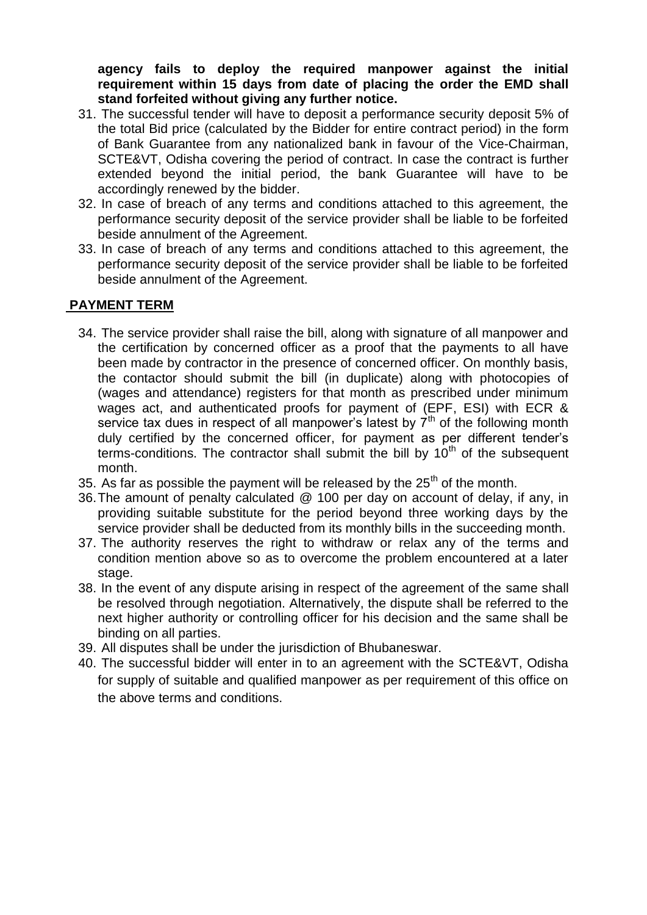**agency fails to deploy the required manpower against the initial requirement within 15 days from date of placing the order the EMD shall stand forfeited without giving any further notice.**

- 31. The successful tender will have to deposit a performance security deposit 5% of the total Bid price (calculated by the Bidder for entire contract period) in the form of Bank Guarantee from any nationalized bank in favour of the Vice-Chairman, SCTE&VT, Odisha covering the period of contract. In case the contract is further extended beyond the initial period, the bank Guarantee will have to be accordingly renewed by the bidder.
- 32. In case of breach of any terms and conditions attached to this agreement, the performance security deposit of the service provider shall be liable to be forfeited beside annulment of the Agreement.
- 33. In case of breach of any terms and conditions attached to this agreement, the performance security deposit of the service provider shall be liable to be forfeited beside annulment of the Agreement.

#### **PAYMENT TERM**

- 34. The service provider shall raise the bill, along with signature of all manpower and the certification by concerned officer as a proof that the payments to all have been made by contractor in the presence of concerned officer. On monthly basis, the contactor should submit the bill (in duplicate) along with photocopies of (wages and attendance) registers for that month as prescribed under minimum wages act, and authenticated proofs for payment of (EPF, ESI) with ECR & service tax dues in respect of all manpower's latest by  $7<sup>th</sup>$  of the following month duly certified by the concerned officer, for payment as per different tender's terms-conditions. The contractor shall submit the bill by  $10<sup>th</sup>$  of the subsequent month.
- 35. As far as possible the payment will be released by the  $25<sup>th</sup>$  of the month.
- 36.The amount of penalty calculated @ 100 per day on account of delay, if any, in providing suitable substitute for the period beyond three working days by the service provider shall be deducted from its monthly bills in the succeeding month.
- 37. The authority reserves the right to withdraw or relax any of the terms and condition mention above so as to overcome the problem encountered at a later stage.
- 38. In the event of any dispute arising in respect of the agreement of the same shall be resolved through negotiation. Alternatively, the dispute shall be referred to the next higher authority or controlling officer for his decision and the same shall be binding on all parties.
- 39. All disputes shall be under the jurisdiction of Bhubaneswar.
- 40. The successful bidder will enter in to an agreement with the SCTE&VT, Odisha for supply of suitable and qualified manpower as per requirement of this office on the above terms and conditions.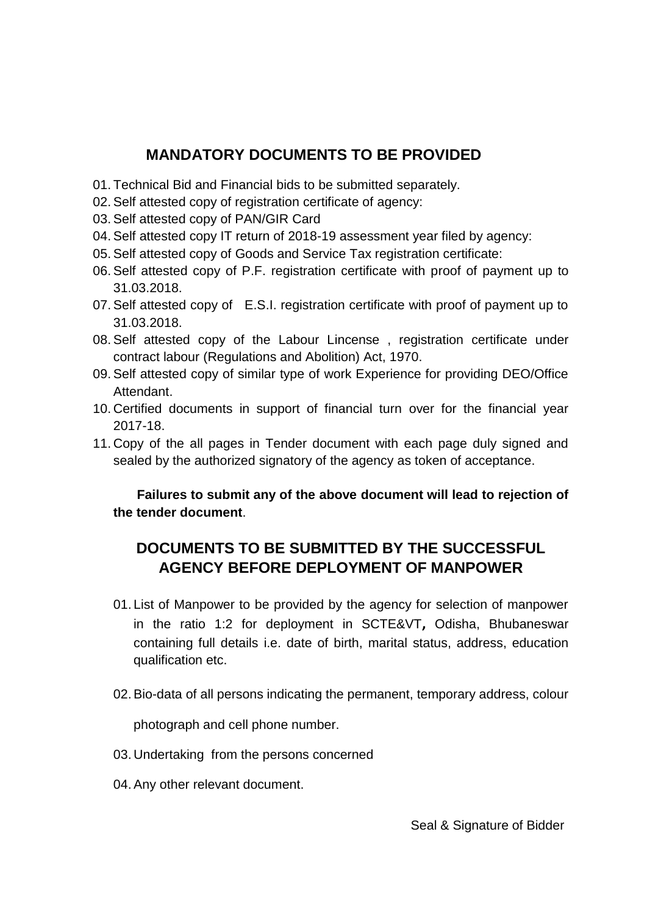## **MANDATORY DOCUMENTS TO BE PROVIDED**

- 01. Technical Bid and Financial bids to be submitted separately.
- 02.Self attested copy of registration certificate of agency:
- 03.Self attested copy of PAN/GIR Card
- 04.Self attested copy IT return of 2018-19 assessment year filed by agency:
- 05.Self attested copy of Goods and Service Tax registration certificate:
- 06.Self attested copy of P.F. registration certificate with proof of payment up to 31.03.2018.
- 07.Self attested copy of E.S.I. registration certificate with proof of payment up to 31.03.2018.
- 08.Self attested copy of the Labour Lincense , registration certificate under contract labour (Regulations and Abolition) Act, 1970.
- 09.Self attested copy of similar type of work Experience for providing DEO/Office Attendant.
- 10. Certified documents in support of financial turn over for the financial year 2017-18.
- 11. Copy of the all pages in Tender document with each page duly signed and sealed by the authorized signatory of the agency as token of acceptance.

### **Failures to submit any of the above document will lead to rejection of the tender document**.

# **DOCUMENTS TO BE SUBMITTED BY THE SUCCESSFUL AGENCY BEFORE DEPLOYMENT OF MANPOWER**

- 01. List of Manpower to be provided by the agency for selection of manpower in the ratio 1:2 for deployment in SCTE&VT**,** Odisha, Bhubaneswar containing full details i.e. date of birth, marital status, address, education qualification etc.
- 02.Bio-data of all persons indicating the permanent, temporary address, colour

photograph and cell phone number.

- 03. Undertaking from the persons concerned
- 04.Any other relevant document.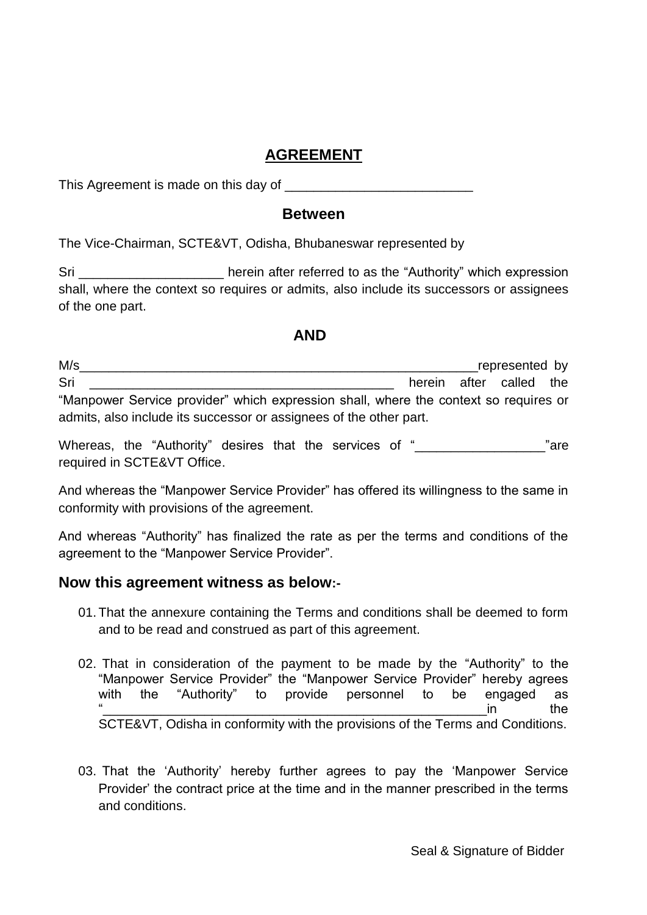## **AGREEMENT**

This Agreement is made on this day of

### **Between**

The Vice-Chairman, SCTE&VT, Odisha, Bhubaneswar represented by

Sri Shing and the referred to as the "Authority" which expression shall, where the context so requires or admits, also include its successors or assignees of the one part.

### **AND**

| M/s                                                                                  |  | represented by          |  |
|--------------------------------------------------------------------------------------|--|-------------------------|--|
| Sri                                                                                  |  | herein after called the |  |
| "Manpower Service provider" which expression shall, where the context so requires or |  |                         |  |
| admits, also include its successor or assignees of the other part.                   |  |                         |  |

Whereas, the "Authority" desires that the services of "<br>
"are required in SCTE&VT Office.

And whereas the "Manpower Service Provider" has offered its willingness to the same in conformity with provisions of the agreement.

And whereas "Authority" has finalized the rate as per the terms and conditions of the agreement to the "Manpower Service Provider".

### **Now this agreement witness as below:-**

- 01. That the annexure containing the Terms and conditions shall be deemed to form and to be read and construed as part of this agreement.
- 02. That in consideration of the payment to be made by the "Authority" to the "Manpower Service Provider" the "Manpower Service Provider" hereby agrees with the "Authority" to provide personnel to be engaged as  $\frac{1}{2}$  in the SCTE&VT, Odisha in conformity with the provisions of the Terms and Conditions.
- 03. That the 'Authority' hereby further agrees to pay the 'Manpower Service Provider' the contract price at the time and in the manner prescribed in the terms and conditions.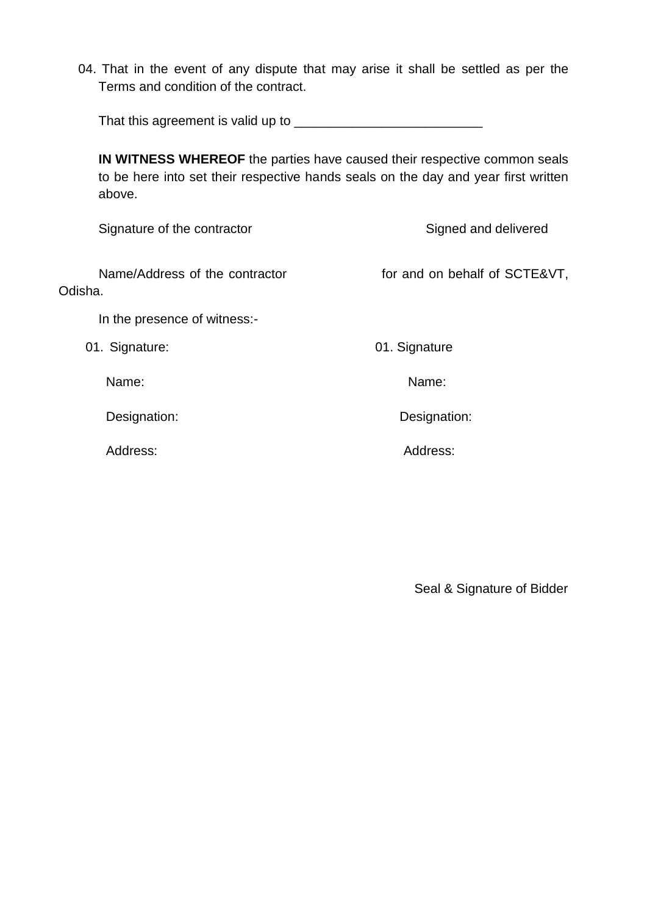04. That in the event of any dispute that may arise it shall be settled as per the Terms and condition of the contract.

That this agreement is valid up to \_\_\_\_\_\_\_\_\_\_\_\_\_\_\_\_\_\_\_\_\_\_\_\_\_\_

**IN WITNESS WHEREOF** the parties have caused their respective common seals to be here into set their respective hands seals on the day and year first written above.

Signature of the contractor Signed and delivered

Name/Address of the contractor for and on behalf of SCTE&VT, Odisha.

In the presence of witness:-

01. Signature: 01. Signature: 01. Signature

Name: Name:

Designation: Designation:

Address: Address:

Seal & Signature of Bidder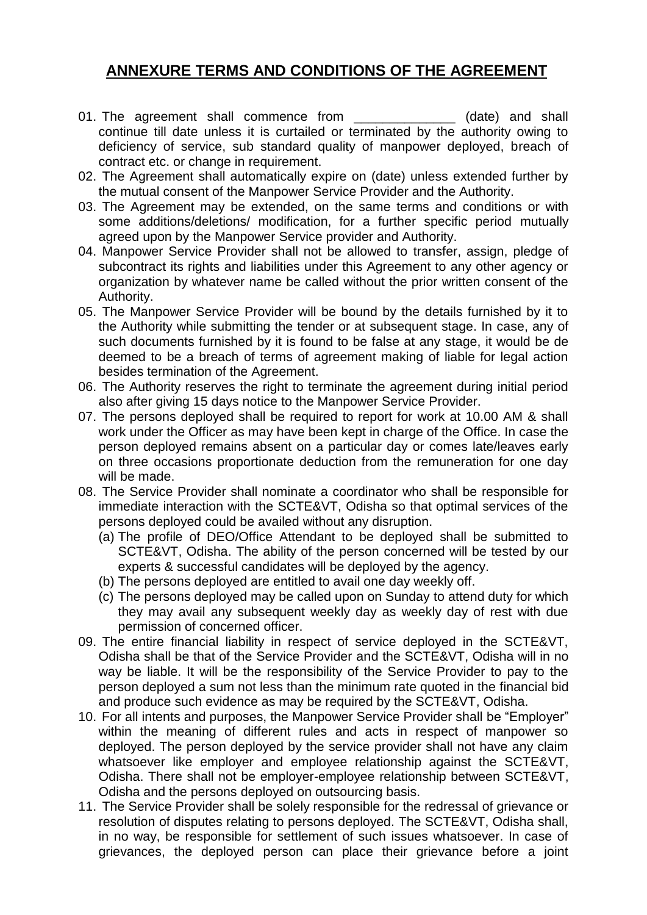# **ANNEXURE TERMS AND CONDITIONS OF THE AGREEMENT**

- 01. The agreement shall commence from \_\_\_\_\_\_\_\_\_\_\_\_\_\_ (date) and shall continue till date unless it is curtailed or terminated by the authority owing to deficiency of service, sub standard quality of manpower deployed, breach of contract etc. or change in requirement.
- 02. The Agreement shall automatically expire on (date) unless extended further by the mutual consent of the Manpower Service Provider and the Authority.
- 03. The Agreement may be extended, on the same terms and conditions or with some additions/deletions/ modification, for a further specific period mutually agreed upon by the Manpower Service provider and Authority.
- 04. Manpower Service Provider shall not be allowed to transfer, assign, pledge of subcontract its rights and liabilities under this Agreement to any other agency or organization by whatever name be called without the prior written consent of the Authority.
- 05. The Manpower Service Provider will be bound by the details furnished by it to the Authority while submitting the tender or at subsequent stage. In case, any of such documents furnished by it is found to be false at any stage, it would be de deemed to be a breach of terms of agreement making of liable for legal action besides termination of the Agreement.
- 06. The Authority reserves the right to terminate the agreement during initial period also after giving 15 days notice to the Manpower Service Provider.
- 07. The persons deployed shall be required to report for work at 10.00 AM & shall work under the Officer as may have been kept in charge of the Office. In case the person deployed remains absent on a particular day or comes late/leaves early on three occasions proportionate deduction from the remuneration for one day will be made.
- 08. The Service Provider shall nominate a coordinator who shall be responsible for immediate interaction with the SCTE&VT, Odisha so that optimal services of the persons deployed could be availed without any disruption.
	- (a) The profile of DEO/Office Attendant to be deployed shall be submitted to SCTE&VT, Odisha. The ability of the person concerned will be tested by our experts & successful candidates will be deployed by the agency.
	- (b) The persons deployed are entitled to avail one day weekly off.
	- (c) The persons deployed may be called upon on Sunday to attend duty for which they may avail any subsequent weekly day as weekly day of rest with due permission of concerned officer.
- 09. The entire financial liability in respect of service deployed in the SCTE&VT, Odisha shall be that of the Service Provider and the SCTE&VT, Odisha will in no way be liable. It will be the responsibility of the Service Provider to pay to the person deployed a sum not less than the minimum rate quoted in the financial bid and produce such evidence as may be required by the SCTE&VT, Odisha.
- 10. For all intents and purposes, the Manpower Service Provider shall be "Employer" within the meaning of different rules and acts in respect of manpower so deployed. The person deployed by the service provider shall not have any claim whatsoever like employer and employee relationship against the SCTE&VT, Odisha. There shall not be employer-employee relationship between SCTE&VT, Odisha and the persons deployed on outsourcing basis.
- 11. The Service Provider shall be solely responsible for the redressal of grievance or resolution of disputes relating to persons deployed. The SCTE&VT, Odisha shall, in no way, be responsible for settlement of such issues whatsoever. In case of grievances, the deployed person can place their grievance before a joint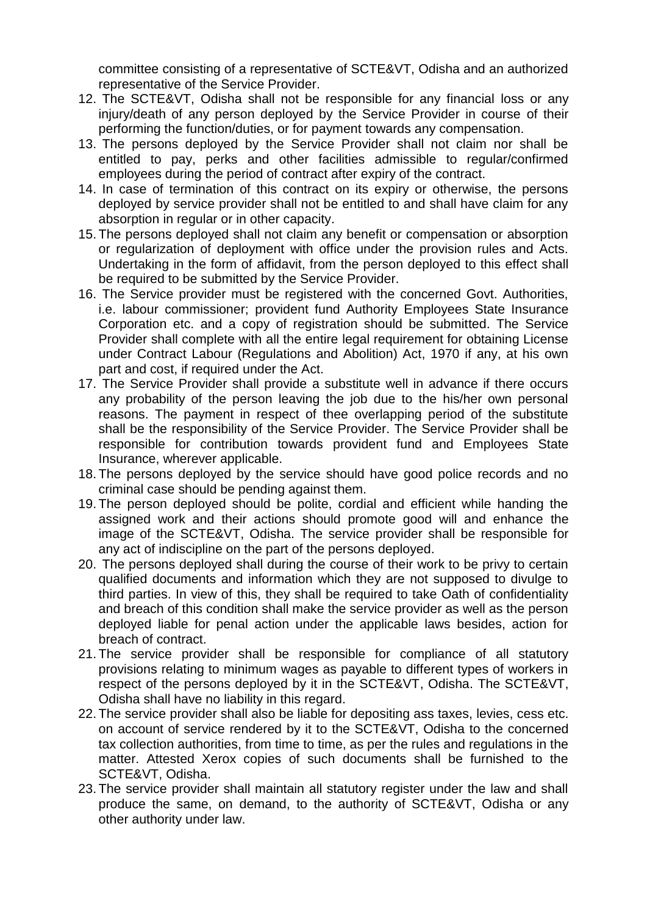committee consisting of a representative of SCTE&VT, Odisha and an authorized representative of the Service Provider.

- 12. The SCTE&VT, Odisha shall not be responsible for any financial loss or any injury/death of any person deployed by the Service Provider in course of their performing the function/duties, or for payment towards any compensation.
- 13. The persons deployed by the Service Provider shall not claim nor shall be entitled to pay, perks and other facilities admissible to regular/confirmed employees during the period of contract after expiry of the contract.
- 14. In case of termination of this contract on its expiry or otherwise, the persons deployed by service provider shall not be entitled to and shall have claim for any absorption in regular or in other capacity.
- 15. The persons deployed shall not claim any benefit or compensation or absorption or regularization of deployment with office under the provision rules and Acts. Undertaking in the form of affidavit, from the person deployed to this effect shall be required to be submitted by the Service Provider.
- 16. The Service provider must be registered with the concerned Govt. Authorities, i.e. labour commissioner; provident fund Authority Employees State Insurance Corporation etc. and a copy of registration should be submitted. The Service Provider shall complete with all the entire legal requirement for obtaining License under Contract Labour (Regulations and Abolition) Act, 1970 if any, at his own part and cost, if required under the Act.
- 17. The Service Provider shall provide a substitute well in advance if there occurs any probability of the person leaving the job due to the his/her own personal reasons. The payment in respect of thee overlapping period of the substitute shall be the responsibility of the Service Provider. The Service Provider shall be responsible for contribution towards provident fund and Employees State Insurance, wherever applicable.
- 18. The persons deployed by the service should have good police records and no criminal case should be pending against them.
- 19. The person deployed should be polite, cordial and efficient while handing the assigned work and their actions should promote good will and enhance the image of the SCTE&VT, Odisha. The service provider shall be responsible for any act of indiscipline on the part of the persons deployed.
- 20. The persons deployed shall during the course of their work to be privy to certain qualified documents and information which they are not supposed to divulge to third parties. In view of this, they shall be required to take Oath of confidentiality and breach of this condition shall make the service provider as well as the person deployed liable for penal action under the applicable laws besides, action for breach of contract.
- 21. The service provider shall be responsible for compliance of all statutory provisions relating to minimum wages as payable to different types of workers in respect of the persons deployed by it in the SCTE&VT, Odisha. The SCTE&VT, Odisha shall have no liability in this regard.
- 22. The service provider shall also be liable for depositing ass taxes, levies, cess etc. on account of service rendered by it to the SCTE&VT, Odisha to the concerned tax collection authorities, from time to time, as per the rules and regulations in the matter. Attested Xerox copies of such documents shall be furnished to the SCTE&VT, Odisha.
- 23. The service provider shall maintain all statutory register under the law and shall produce the same, on demand, to the authority of SCTE&VT, Odisha or any other authority under law.